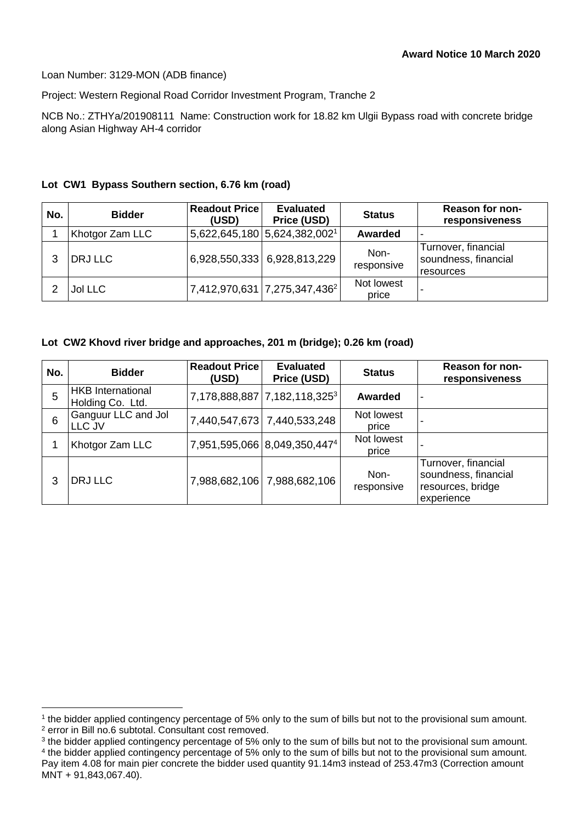Loan Number: 3129-MON (ADB finance)

Project: Western Regional Road Corridor Investment Program, Tranche 2

NCB No.: ZTHYa/201908111 Name: Construction work for 18.82 km Ulgii Bypass road with concrete bridge along Asian Highway AH-4 corridor

## **Lot CW1 Bypass Southern section, 6.76 km (road)**

| No. | <b>Bidder</b>   | <b>Readout Price</b><br>(USD) | <b>Evaluated</b><br>Price (USD)                          | <b>Status</b>       | <b>Reason for non-</b><br>responsiveness                 |
|-----|-----------------|-------------------------------|----------------------------------------------------------|---------------------|----------------------------------------------------------|
|     | Khotgor Zam LLC |                               | $ 5,622,645,180\,$ 5,624,382,002 <sup>1</sup>            | Awarded             | ٠                                                        |
|     | DRJ LLC         |                               | 6,928,550,333 6,928,813,229                              | Non-<br>responsive  | Turnover, financial<br>soundness, financial<br>resources |
|     | <b>Jol LLC</b>  |                               | $\left[7,412,970,631\left[7,275,347,436^2\right]\right]$ | Not lowest<br>price |                                                          |

## **Lot CW2 Khovd river bridge and approaches, 201 m (bridge); 0.26 km (road)**

| No. | <b>Bidder</b>                                | <b>Readout Price</b><br>(USD) | <b>Evaluated</b><br>Price (USD)          | <b>Status</b>       | <b>Reason for non-</b><br>responsiveness                                       |
|-----|----------------------------------------------|-------------------------------|------------------------------------------|---------------------|--------------------------------------------------------------------------------|
| 5   | <b>HKB</b> International<br>Holding Co. Ltd. |                               | 7,178,888,887 7,182,118,3253             | Awarded             | $\blacksquare$                                                                 |
| 6   | Ganguur LLC and Jol<br>LLC JV                |                               | 7,440,547,673 7,440,533,248              | Not lowest<br>price |                                                                                |
|     | Khotgor Zam LLC                              |                               | 7,951,595,066 8,049,350,447 <sup>4</sup> | Not lowest<br>price |                                                                                |
| 3   | DRJ LLC                                      |                               | 7,988,682,106   7,988,682,106            | Non-<br>responsive  | Turnover, financial<br>soundness, financial<br>resources, bridge<br>experience |

<sup>1</sup> the bidder applied contingency percentage of 5% only to the sum of bills but not to the provisional sum amount. <sup>2</sup> error in Bill no.6 subtotal. Consultant cost removed.

 $3$  the bidder applied contingency percentage of 5% only to the sum of bills but not to the provisional sum amount. 4 the bidder applied contingency percentage of 5% only to the sum of bills but not to the provisional sum amount. Pay item 4.08 for main pier concrete the bidder used quantity 91.14m3 instead of 253.47m3 (Correction amount MNT + 91,843,067.40).